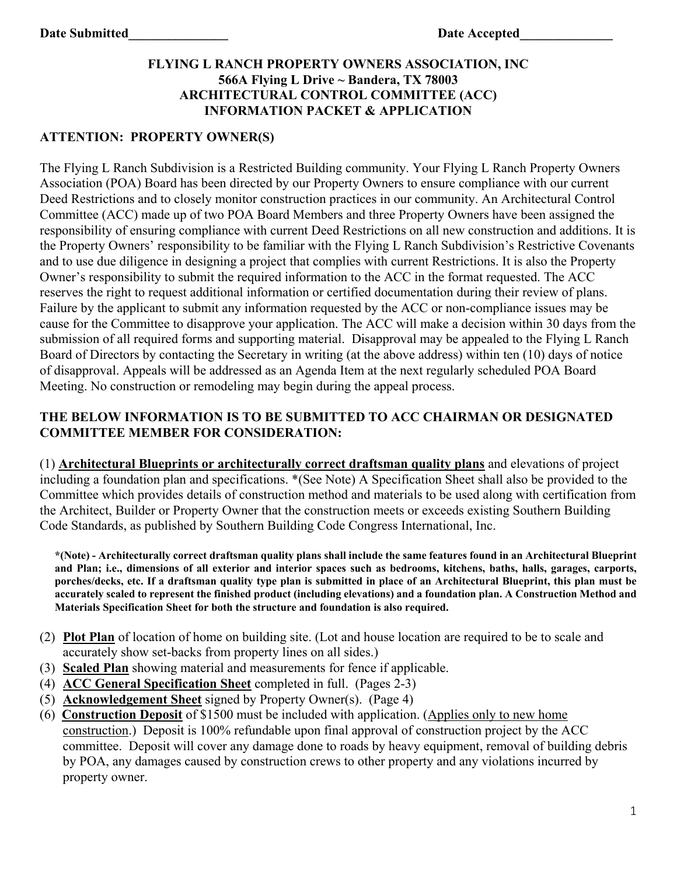## **FLYING L RANCH PROPERTY OWNERS ASSOCIATION, INC 566A Flying L Drive ~ Bandera, TX 78003 ARCHITECTURAL CONTROL COMMITTEE (ACC) INFORMATION PACKET & APPLICATION**

## **ATTENTION: PROPERTY OWNER(S)**

The Flying L Ranch Subdivision is a Restricted Building community. Your Flying L Ranch Property Owners Association (POA) Board has been directed by our Property Owners to ensure compliance with our current Deed Restrictions and to closely monitor construction practices in our community. An Architectural Control Committee (ACC) made up of two POA Board Members and three Property Owners have been assigned the responsibility of ensuring compliance with current Deed Restrictions on all new construction and additions. It is the Property Owners' responsibility to be familiar with the Flying L Ranch Subdivision's Restrictive Covenants and to use due diligence in designing a project that complies with current Restrictions. It is also the Property Owner's responsibility to submit the required information to the ACC in the format requested. The ACC reserves the right to request additional information or certified documentation during their review of plans. Failure by the applicant to submit any information requested by the ACC or non-compliance issues may be cause for the Committee to disapprove your application. The ACC will make a decision within 30 days from the submission of all required forms and supporting material. Disapproval may be appealed to the Flying L Ranch Board of Directors by contacting the Secretary in writing (at the above address) within ten (10) days of notice of disapproval. Appeals will be addressed as an Agenda Item at the next regularly scheduled POA Board Meeting. No construction or remodeling may begin during the appeal process.

### **THE BELOW INFORMATION IS TO BE SUBMITTED TO ACC CHAIRMAN OR DESIGNATED COMMITTEE MEMBER FOR CONSIDERATION:**

(1) **Architectural Blueprints or architecturally correct draftsman quality plans** and elevations of project including a foundation plan and specifications. \*(See Note) A Specification Sheet shall also be provided to the Committee which provides details of construction method and materials to be used along with certification from the Architect, Builder or Property Owner that the construction meets or exceeds existing Southern Building Code Standards, as published by Southern Building Code Congress International, Inc.

**\*(Note) - Architecturally correct draftsman quality plans shall include the same features found in an Architectural Blueprint and Plan; i.e., dimensions of all exterior and interior spaces such as bedrooms, kitchens, baths, halls, garages, carports, porches/decks, etc. If a draftsman quality type plan is submitted in place of an Architectural Blueprint, this plan must be accurately scaled to represent the finished product (including elevations) and a foundation plan. A Construction Method and Materials Specification Sheet for both the structure and foundation is also required.**

- (2) **Plot Plan** of location of home on building site. (Lot and house location are required to be to scale and accurately show set-backs from property lines on all sides.)
- (3) **Scaled Plan** showing material and measurements for fence if applicable.
- (4) **ACC General Specification Sheet** completed in full. (Pages 2-3)
- (5) **Acknowledgement Sheet** signed by Property Owner(s). (Page 4)
- (6) **Construction Deposit** of \$1500 must be included with application. (Applies only to new home construction.) Deposit is 100% refundable upon final approval of construction project by the ACC committee. Deposit will cover any damage done to roads by heavy equipment, removal of building debris by POA, any damages caused by construction crews to other property and any violations incurred by property owner.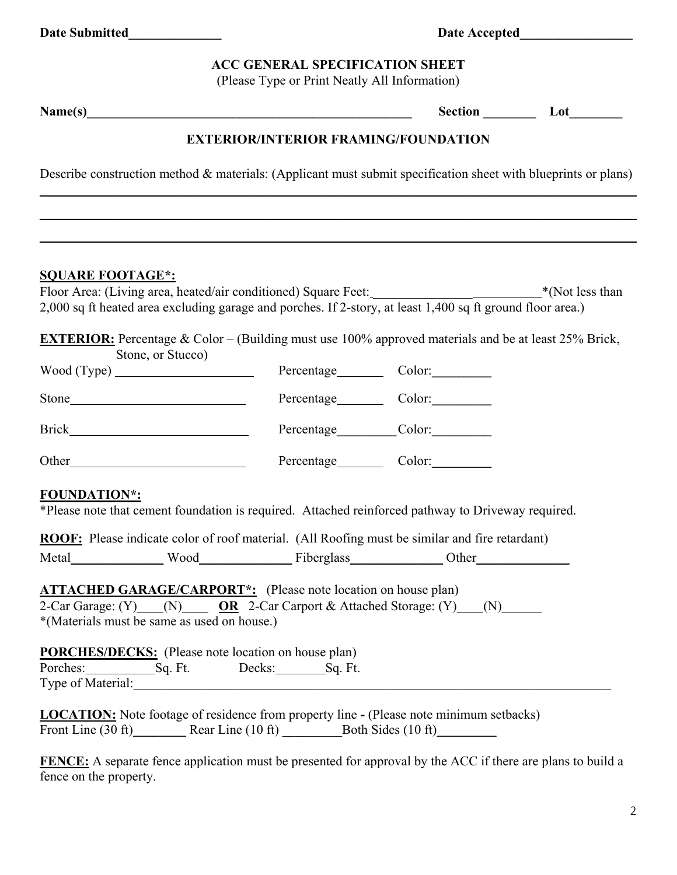#### **ACC GENERAL SPECIFICATION SHEET**

(Please Type or Print Neatly All Information)

Name(s) Section Lot

## **EXTERIOR/INTERIOR FRAMING/FOUNDATION**

Describe construction method & materials: (Applicant must submit specification sheet with blueprints or plans) \_\_\_\_\_\_\_\_\_\_\_\_\_\_\_\_\_\_\_\_\_\_\_\_\_\_\_\_\_\_\_\_\_\_\_\_\_\_\_\_\_\_\_\_\_\_\_\_\_\_\_\_\_\_\_\_\_\_\_\_\_\_\_\_\_\_\_\_\_\_\_\_\_\_\_\_\_\_\_\_\_\_\_\_\_\_\_\_\_\_

\_\_\_\_\_\_\_\_\_\_\_\_\_\_\_\_\_\_\_\_\_\_\_\_\_\_\_\_\_\_\_\_\_\_\_\_\_\_\_\_\_\_\_\_\_\_\_\_\_\_\_\_\_\_\_\_\_\_\_\_\_\_\_\_\_\_\_\_\_\_\_\_\_\_\_\_\_\_\_\_\_\_\_\_\_\_\_\_\_\_

\_\_\_\_\_\_\_\_\_\_\_\_\_\_\_\_\_\_\_\_\_\_\_\_\_\_\_\_\_\_\_\_\_\_\_\_\_\_\_\_\_\_\_\_\_\_\_\_\_\_\_\_\_\_\_\_\_\_\_\_\_\_\_\_\_\_\_\_\_\_\_\_\_\_\_\_\_\_\_\_\_\_\_\_\_\_\_\_\_\_

#### **SQUARE FOOTAGE\*:**

| Floor Area: (Living area, heated/air conditioned) Square Feet:                                             | *(Not less than |
|------------------------------------------------------------------------------------------------------------|-----------------|
| 2,000 sq ft heated area excluding garage and porches. If 2-story, at least 1,400 sq ft ground floor area.) |                 |

**EXTERIOR:** Percentage & Color – (Building must use 100% approved materials and be at least 25% Brick,  $\mathcal{S}$ tone, or  $\mathcal{S}$ tucco)

| Stolle, or Stucco)                                           | Percentage  | Color:        |
|--------------------------------------------------------------|-------------|---------------|
| Stone<br><u> 1980 - Johann Barbara, martxa alemaniar arg</u> | Percentage  |               |
| <b>Brick</b>                                                 | Percentage  | $Color: \_\_$ |
| Other                                                        | Percentage_ | Color:        |
| ________                                                     |             |               |

#### **FOUNDATION\*:**

\*Please note that cement foundation is required. Attached reinforced pathway to Driveway required.

| <b>ROOF:</b> Please indicate color of roof material. (All Roofing must be similar and fire retardant) |  |
|-------------------------------------------------------------------------------------------------------|--|
|                                                                                                       |  |

| Meta | w<br>и | $\epsilon$ $\alpha$ $\epsilon$<br>. .<br>הרגוז | )ther<br>$- - - -$ |
|------|--------|------------------------------------------------|--------------------|
|------|--------|------------------------------------------------|--------------------|

### **ATTACHED GARAGE/CARPORT\*:** (Please note location on house plan) 2-Car Garage: (Y) (N) **OR** 2-Car Carport & Attached Storage: (Y) (N) \*(Materials must be same as used on house.)

**PORCHES/DECKS:** (Please note location on house plan) Porches: Sq. Ft. Decks: Sq. Ft. Type of Material:

|                    | <b>LOCATION:</b> Note footage of residence from property line - (Please note minimum setbacks) |                    |  |
|--------------------|------------------------------------------------------------------------------------------------|--------------------|--|
| Front Line (30 ft) | Rear Line $(10 \text{ ft})$                                                                    | Both Sides (10 ft) |  |

**FENCE:** A separate fence application must be presented for approval by the ACC if there are plans to build a fence on the property.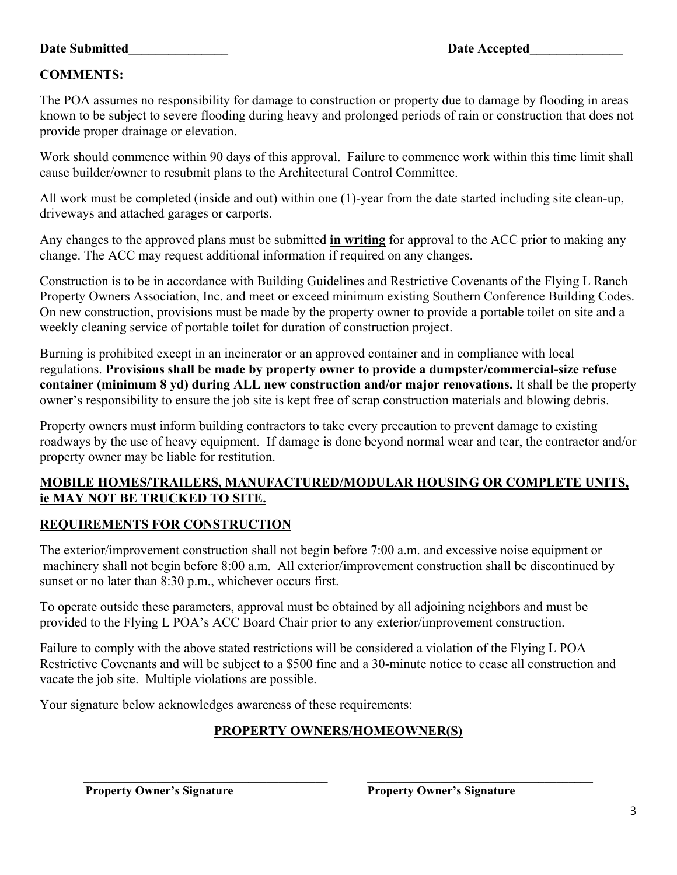### **Date Submitted Date Accepted**

## **COMMENTS:**

The POA assumes no responsibility for damage to construction or property due to damage by flooding in areas known to be subject to severe flooding during heavy and prolonged periods of rain or construction that does not provide proper drainage or elevation.

Work should commence within 90 days of this approval. Failure to commence work within this time limit shall cause builder/owner to resubmit plans to the Architectural Control Committee.

All work must be completed (inside and out) within one (1)-year from the date started including site clean-up, driveways and attached garages or carports.

Any changes to the approved plans must be submitted **in writing** for approval to the ACC prior to making any change. The ACC may request additional information if required on any changes.

Construction is to be in accordance with Building Guidelines and Restrictive Covenants of the Flying L Ranch Property Owners Association, Inc. and meet or exceed minimum existing Southern Conference Building Codes. On new construction, provisions must be made by the property owner to provide a portable toilet on site and a weekly cleaning service of portable toilet for duration of construction project.

Burning is prohibited except in an incinerator or an approved container and in compliance with local regulations. **Provisions shall be made by property owner to provide a dumpster/commercial-size refuse container (minimum 8 yd) during ALL new construction and/or major renovations.** It shall be the property owner's responsibility to ensure the job site is kept free of scrap construction materials and blowing debris.

Property owners must inform building contractors to take every precaution to prevent damage to existing roadways by the use of heavy equipment. If damage is done beyond normal wear and tear, the contractor and/or property owner may be liable for restitution.

### **MOBILE HOMES/TRAILERS, MANUFACTURED/MODULAR HOUSING OR COMPLETE UNITS, ie MAY NOT BE TRUCKED TO SITE.**

## **REQUIREMENTS FOR CONSTRUCTION**

The exterior/improvement construction shall not begin before 7:00 a.m. and excessive noise equipment or machinery shall not begin before 8:00 a.m. All exterior/improvement construction shall be discontinued by sunset or no later than 8:30 p.m., whichever occurs first.

To operate outside these parameters, approval must be obtained by all adjoining neighbors and must be provided to the Flying L POA's ACC Board Chair prior to any exterior/improvement construction.

Failure to comply with the above stated restrictions will be considered a violation of the Flying L POA Restrictive Covenants and will be subject to a \$500 fine and a 30-minute notice to cease all construction and vacate the job site. Multiple violations are possible.

Your signature below acknowledges awareness of these requirements:

## **PROPERTY OWNERS/HOMEOWNER(S)**

**\_\_\_\_\_\_\_\_\_\_\_\_\_\_\_\_\_\_\_\_\_\_\_\_\_\_\_\_\_\_\_\_\_\_\_\_\_\_\_\_ \_\_\_\_\_\_\_\_\_\_\_\_\_\_\_\_\_\_\_\_\_\_\_\_\_\_\_\_\_\_\_\_\_\_\_\_\_** 

**Property Owner's Signature Property Owner's Signature**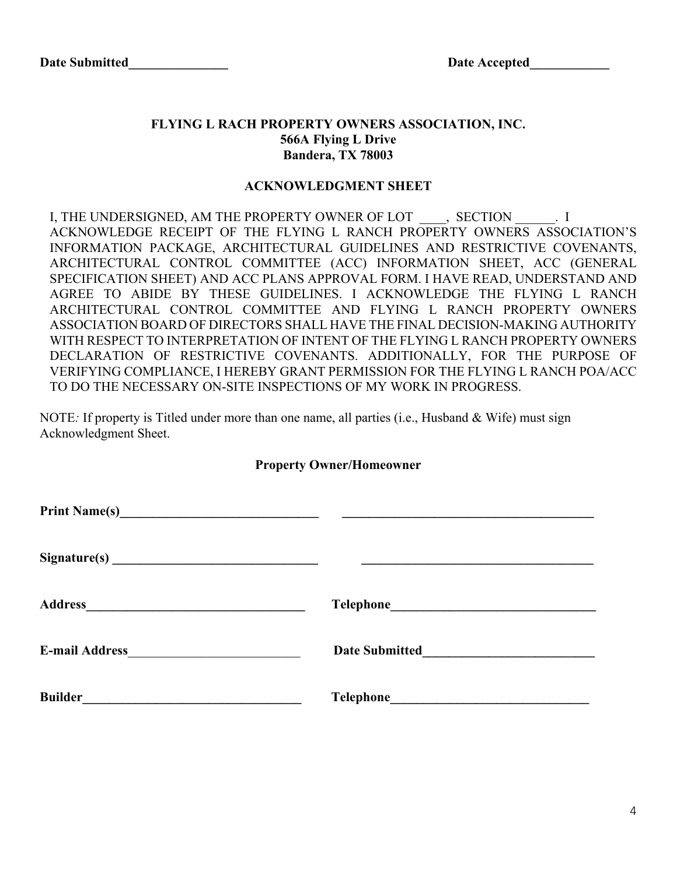### **FLYING L RACH PROPERTY OWNERS ASSOCIATION, INC. 566A Flying L Drive Bandera, TX 78003**

#### **ACKNOWLEDGMENT SHEET**

I, THE UNDERSIGNED, AM THE PROPERTY OWNER OF LOT \_\_\_\_, SECTION \_\_\_\_\_\_\_. I ACKNOWLEDGE RECEIPT OF THE FLYING L RANCH PROPERTY OWNERS ASSOCIATION'S INFORMATION PACKAGE, ARCHITECTURAL GUIDELINES AND RESTRICTIVE COVENANTS, ARCHITECTURAL CONTROL COMMITTEE (ACC) INFORMATION SHEET, ACC (GENERAL SPECIFICATION SHEET) AND ACC PLANS APPROVAL FORM. I HAVE READ, UNDERSTAND AND AGREE TO ABIDE BY THESE GUIDELINES. I ACKNOWLEDGE THE FLYING L RANCH ARCHITECTURAL CONTROL COMMITTEE AND FLYING L RANCH PROPERTY OWNERS ASSOCIATION BOARD OF DIRECTORS SHALL HAVE THE FINAL DECISION-MAKING AUTHORITY WITH RESPECT TO INTERPRETATION OF INTENT OF THE FLYING L RANCH PROPERTY OWNERS DECLARATION OF RESTRICTIVE COVENANTS. ADDITIONALLY, FOR THE PURPOSE OF VERIFYING COMPLIANCE, I HEREBY GRANT PERMISSION FOR THE FLYING L RANCH POA/ACC TO DO THE NECESSARY ON-SITE INSPECTIONS OF MY WORK IN PROGRESS.

NOTE*:* If property is Titled under more than one name, all parties (i.e., Husband & Wife) must sign Acknowledgment Sheet.

#### **Property Owner/Homeowner**

| <b>Address</b>                       |                                                                              |
|--------------------------------------|------------------------------------------------------------------------------|
| E-mail Address <b>E-mail Address</b> | <b>Date Submitted</b><br><u> 1970 - Andrea Station Barbara, amerikan per</u> |
| <b>Builder</b>                       |                                                                              |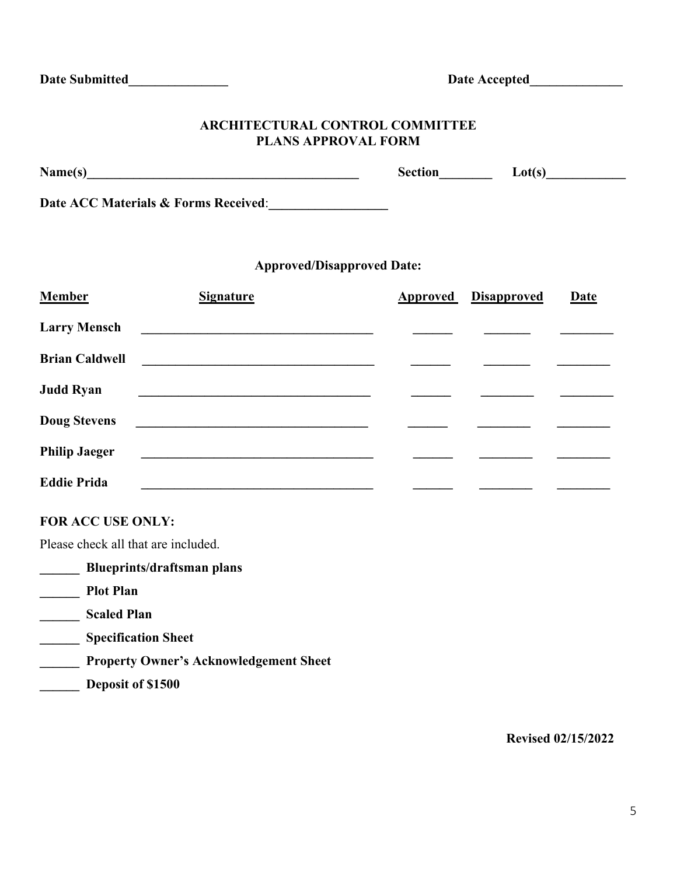### **ARCHITECTURAL CONTROL COMMITTEE PLANS APPROVAL FORM**

| Name(s) | ection | $\Delta f$ |
|---------|--------|------------|
|         |        |            |

**Date ACC Materials & Forms Received**:**\_\_\_\_\_\_\_\_\_\_\_\_\_\_\_\_\_\_**

## **Approved/Disapproved Date:**

| <b>Member</b>         | <b>Signature</b>                                                                                                       | <b>Approved</b> Disapproved | <b>Date</b> |
|-----------------------|------------------------------------------------------------------------------------------------------------------------|-----------------------------|-------------|
| <b>Larry Mensch</b>   | <u> 1989 - Andrea State Barbara, política establecente de la propia de la propia de la propia de la propia de la</u>   |                             |             |
| <b>Brian Caldwell</b> | <u> 1980 - Johann Stein, marwolaethau a bhann an t-Amhain an t-Amhain an t-Amhain an t-Amhain an t-Amhain an t-A</u>   |                             |             |
| <b>Judd Ryan</b>      |                                                                                                                        |                             |             |
| <b>Doug Stevens</b>   | <u> 1989 - Andrea Andrew Maria (h. 1989).</u>                                                                          |                             |             |
| <b>Philip Jaeger</b>  | <u> La Carlo Carlo Carlo Carlo Carlo Carlo Carlo Carlo Carlo Carlo Carlo Carlo Carlo Carlo Carlo Carlo Carlo Carlo</u> |                             |             |
| <b>Eddie Prida</b>    |                                                                                                                        |                             |             |

### **FOR ACC USE ONLY:**

Please check all that are included.

| <b>Blueprints/draftsman plans</b>             |
|-----------------------------------------------|
| <b>Plot Plan</b>                              |
| <b>Scaled Plan</b>                            |
| <b>Specification Sheet</b>                    |
| <b>Property Owner's Acknowledgement Sheet</b> |
| Deposit of \$1500                             |
|                                               |

**Revised 02/15/2022**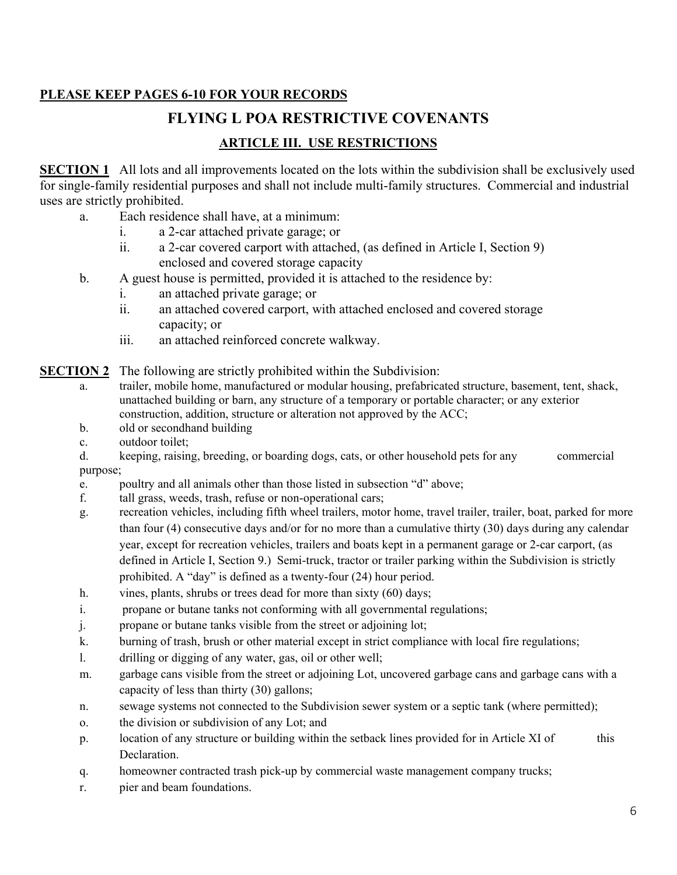## **PLEASE KEEP PAGES 6-10 FOR YOUR RECORDS**

# **FLYING L POA RESTRICTIVE COVENANTS**

## **ARTICLE III. USE RESTRICTIONS**

**SECTION 1** All lots and all improvements located on the lots within the subdivision shall be exclusively used for single-family residential purposes and shall not include multi-family structures. Commercial and industrial uses are strictly prohibited.

- a. Each residence shall have, at a minimum:
	- i. a 2-car attached private garage; or
	- ii. a 2-car covered carport with attached, (as defined in Article I, Section 9) enclosed and covered storage capacity
- b. A guest house is permitted, provided it is attached to the residence by:
	- i. an attached private garage; or
	- ii. an attached covered carport, with attached enclosed and covered storage capacity; or
	- iii. an attached reinforced concrete walkway.

**SECTION 2** The following are strictly prohibited within the Subdivision:

- a. trailer, mobile home, manufactured or modular housing, prefabricated structure, basement, tent, shack, unattached building or barn, any structure of a temporary or portable character; or any exterior construction, addition, structure or alteration not approved by the ACC;
- b. old or secondhand building
- c. outdoor toilet;
- d. keeping, raising, breeding, or boarding dogs, cats, or other household pets for any commercial purpose;
- e. poultry and all animals other than those listed in subsection "d" above;
- f. tall grass, weeds, trash, refuse or non-operational cars;
- g. recreation vehicles, including fifth wheel trailers, motor home, travel trailer, trailer, boat, parked for more than four (4) consecutive days and/or for no more than a cumulative thirty (30) days during any calendar year, except for recreation vehicles, trailers and boats kept in a permanent garage or 2-car carport, (as defined in Article I, Section 9.) Semi-truck, tractor or trailer parking within the Subdivision is strictly prohibited. A "day" is defined as a twenty-four (24) hour period.
- h. vines, plants, shrubs or trees dead for more than sixty (60) days;
- i. propane or butane tanks not conforming with all governmental regulations;
- j. propane or butane tanks visible from the street or adjoining lot;
- k. burning of trash, brush or other material except in strict compliance with local fire regulations;
- l. drilling or digging of any water, gas, oil or other well;
- m. garbage cans visible from the street or adjoining Lot, uncovered garbage cans and garbage cans with a capacity of less than thirty (30) gallons;
- n. sewage systems not connected to the Subdivision sewer system or a septic tank (where permitted);
- o. the division or subdivision of any Lot; and
- p. location of any structure or building within the setback lines provided for in Article XI of this Declaration.
- q. homeowner contracted trash pick-up by commercial waste management company trucks;
- r. pier and beam foundations.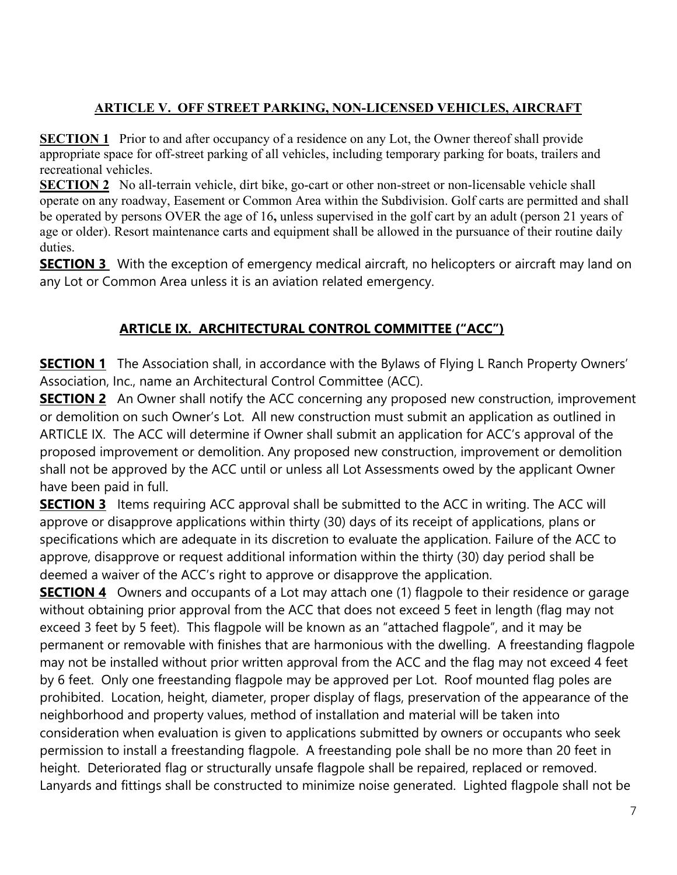## **ARTICLE V. OFF STREET PARKING, NON-LICENSED VEHICLES, AIRCRAFT**

**SECTION 1** Prior to and after occupancy of a residence on any Lot, the Owner thereof shall provide appropriate space for off-street parking of all vehicles, including temporary parking for boats, trailers and recreational vehicles.

**SECTION 2** No all-terrain vehicle, dirt bike, go-cart or other non-street or non-licensable vehicle shall operate on any roadway, Easement or Common Area within the Subdivision. Golf carts are permitted and shall be operated by persons OVER the age of 16**,** unless supervised in the golf cart by an adult (person 21 years of age or older). Resort maintenance carts and equipment shall be allowed in the pursuance of their routine daily duties.

**SECTION 3** With the exception of emergency medical aircraft, no helicopters or aircraft may land on any Lot or Common Area unless it is an aviation related emergency.

# **ARTICLE IX. ARCHITECTURAL CONTROL COMMITTEE ("ACC")**

**SECTION 1** The Association shall, in accordance with the Bylaws of Flying L Ranch Property Owners' Association, Inc., name an Architectural Control Committee (ACC).

**SECTION 2** An Owner shall notify the ACC concerning any proposed new construction, improvement or demolition on such Owner's Lot. All new construction must submit an application as outlined in ARTICLE IX. The ACC will determine if Owner shall submit an application for ACC's approval of the proposed improvement or demolition. Any proposed new construction, improvement or demolition shall not be approved by the ACC until or unless all Lot Assessments owed by the applicant Owner have been paid in full.

**SECTION 3** Items requiring ACC approval shall be submitted to the ACC in writing. The ACC will approve or disapprove applications within thirty (30) days of its receipt of applications, plans or specifications which are adequate in its discretion to evaluate the application. Failure of the ACC to approve, disapprove or request additional information within the thirty (30) day period shall be deemed a waiver of the ACC's right to approve or disapprove the application.

**SECTION 4** Owners and occupants of a Lot may attach one (1) flagpole to their residence or garage without obtaining prior approval from the ACC that does not exceed 5 feet in length (flag may not exceed 3 feet by 5 feet). This flagpole will be known as an "attached flagpole", and it may be permanent or removable with finishes that are harmonious with the dwelling. A freestanding flagpole may not be installed without prior written approval from the ACC and the flag may not exceed 4 feet by 6 feet. Only one freestanding flagpole may be approved per Lot. Roof mounted flag poles are prohibited. Location, height, diameter, proper display of flags, preservation of the appearance of the neighborhood and property values, method of installation and material will be taken into consideration when evaluation is given to applications submitted by owners or occupants who seek permission to install a freestanding flagpole. A freestanding pole shall be no more than 20 feet in height. Deteriorated flag or structurally unsafe flagpole shall be repaired, replaced or removed. Lanyards and fittings shall be constructed to minimize noise generated. Lighted flagpole shall not be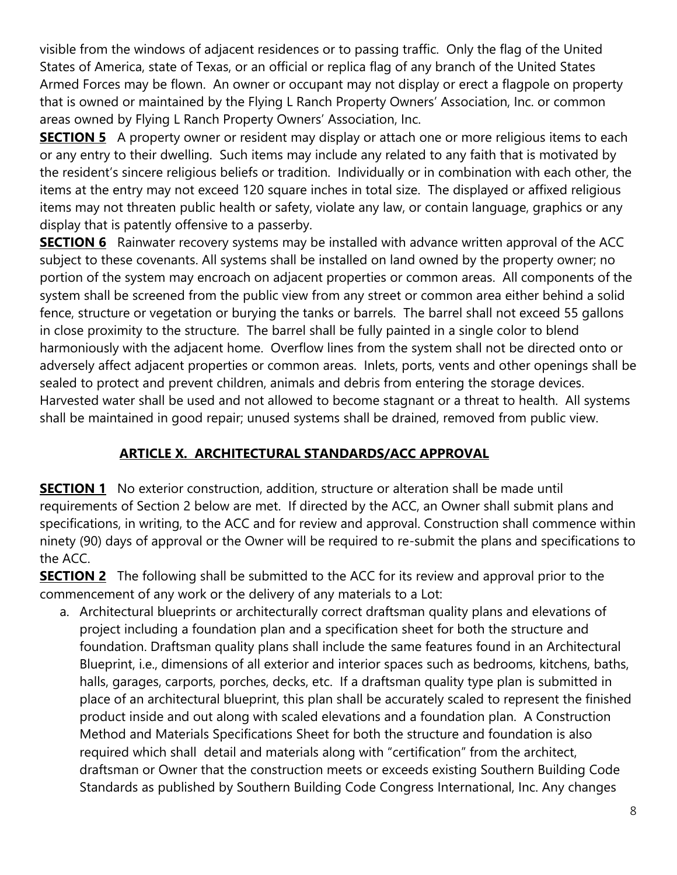visible from the windows of adjacent residences or to passing traffic. Only the flag of the United States of America, state of Texas, or an official or replica flag of any branch of the United States Armed Forces may be flown. An owner or occupant may not display or erect a flagpole on property that is owned or maintained by the Flying L Ranch Property Owners' Association, Inc. or common areas owned by Flying L Ranch Property Owners' Association, Inc.

**SECTION 5** A property owner or resident may display or attach one or more religious items to each or any entry to their dwelling. Such items may include any related to any faith that is motivated by the resident's sincere religious beliefs or tradition. Individually or in combination with each other, the items at the entry may not exceed 120 square inches in total size. The displayed or affixed religious items may not threaten public health or safety, violate any law, or contain language, graphics or any display that is patently offensive to a passerby.

**SECTION 6** Rainwater recovery systems may be installed with advance written approval of the ACC subject to these covenants. All systems shall be installed on land owned by the property owner; no portion of the system may encroach on adjacent properties or common areas. All components of the system shall be screened from the public view from any street or common area either behind a solid fence, structure or vegetation or burying the tanks or barrels. The barrel shall not exceed 55 gallons in close proximity to the structure. The barrel shall be fully painted in a single color to blend harmoniously with the adjacent home. Overflow lines from the system shall not be directed onto or adversely affect adjacent properties or common areas. Inlets, ports, vents and other openings shall be sealed to protect and prevent children, animals and debris from entering the storage devices. Harvested water shall be used and not allowed to become stagnant or a threat to health. All systems shall be maintained in good repair; unused systems shall be drained, removed from public view.

# **ARTICLE X. ARCHITECTURAL STANDARDS/ACC APPROVAL**

**SECTION 1** No exterior construction, addition, structure or alteration shall be made until requirements of Section 2 below are met. If directed by the ACC, an Owner shall submit plans and specifications, in writing, to the ACC and for review and approval. Construction shall commence within ninety (90) days of approval or the Owner will be required to re-submit the plans and specifications to the ACC.

**SECTION 2** The following shall be submitted to the ACC for its review and approval prior to the commencement of any work or the delivery of any materials to a Lot:

a. Architectural blueprints or architecturally correct draftsman quality plans and elevations of project including a foundation plan and a specification sheet for both the structure and foundation. Draftsman quality plans shall include the same features found in an Architectural Blueprint, i.e., dimensions of all exterior and interior spaces such as bedrooms, kitchens, baths, halls, garages, carports, porches, decks, etc. If a draftsman quality type plan is submitted in place of an architectural blueprint, this plan shall be accurately scaled to represent the finished product inside and out along with scaled elevations and a foundation plan. A Construction Method and Materials Specifications Sheet for both the structure and foundation is also required which shall detail and materials along with "certification" from the architect, draftsman or Owner that the construction meets or exceeds existing Southern Building Code Standards as published by Southern Building Code Congress International, Inc. Any changes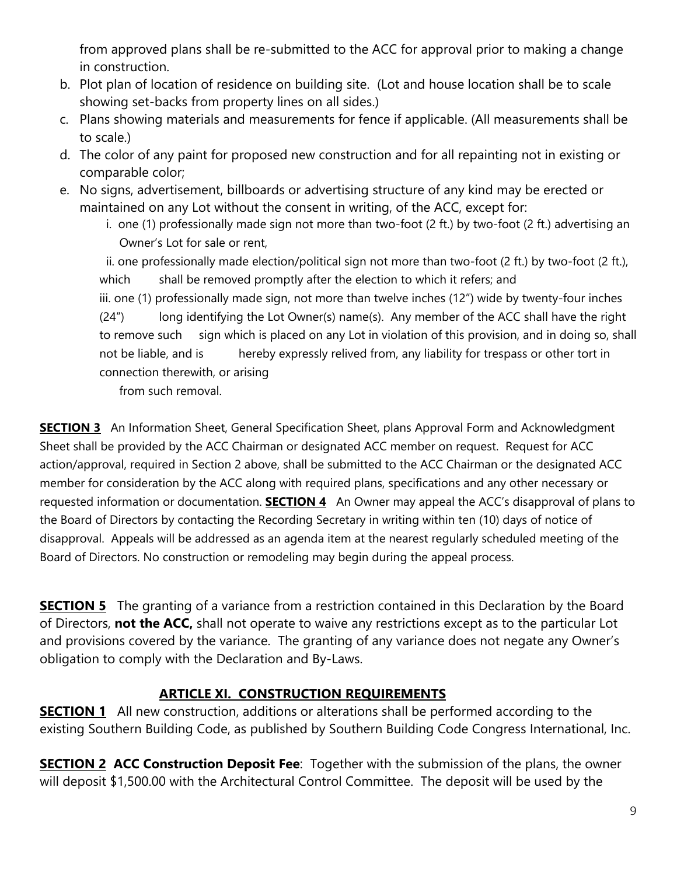from approved plans shall be re-submitted to the ACC for approval prior to making a change in construction.

- b. Plot plan of location of residence on building site. (Lot and house location shall be to scale showing set-backs from property lines on all sides.)
- c. Plans showing materials and measurements for fence if applicable. (All measurements shall be to scale.)
- d. The color of any paint for proposed new construction and for all repainting not in existing or comparable color;
- e. No signs, advertisement, billboards or advertising structure of any kind may be erected or maintained on any Lot without the consent in writing, of the ACC, except for:
	- i. one (1) professionally made sign not more than two-foot (2 ft.) by two-foot (2 ft.) advertising an Owner's Lot for sale or rent,

 ii. one professionally made election/political sign not more than two-foot (2 ft.) by two-foot (2 ft.), which shall be removed promptly after the election to which it refers; and iii. one (1) professionally made sign, not more than twelve inches (12") wide by twenty-four inches (24") long identifying the Lot Owner(s) name(s). Any member of the ACC shall have the right to remove such sign which is placed on any Lot in violation of this provision, and in doing so, shall not be liable, and is hereby expressly relived from, any liability for trespass or other tort in

connection therewith, or arising

from such removal.

**SECTION 3** An Information Sheet, General Specification Sheet, plans Approval Form and Acknowledgment Sheet shall be provided by the ACC Chairman or designated ACC member on request. Request for ACC action/approval, required in Section 2 above, shall be submitted to the ACC Chairman or the designated ACC member for consideration by the ACC along with required plans, specifications and any other necessary or requested information or documentation. **SECTION 4** An Owner may appeal the ACC's disapproval of plans to the Board of Directors by contacting the Recording Secretary in writing within ten (10) days of notice of disapproval. Appeals will be addressed as an agenda item at the nearest regularly scheduled meeting of the Board of Directors. No construction or remodeling may begin during the appeal process.

**SECTION 5** The granting of a variance from a restriction contained in this Declaration by the Board of Directors, **not the ACC,** shall not operate to waive any restrictions except as to the particular Lot and provisions covered by the variance. The granting of any variance does not negate any Owner's obligation to comply with the Declaration and By-Laws.

## **ARTICLE XI. CONSTRUCTION REQUIREMENTS**

**SECTION 1** All new construction, additions or alterations shall be performed according to the existing Southern Building Code, as published by Southern Building Code Congress International, Inc.

**SECTION 2 ACC Construction Deposit Fee**: Together with the submission of the plans, the owner will deposit \$1,500.00 with the Architectural Control Committee. The deposit will be used by the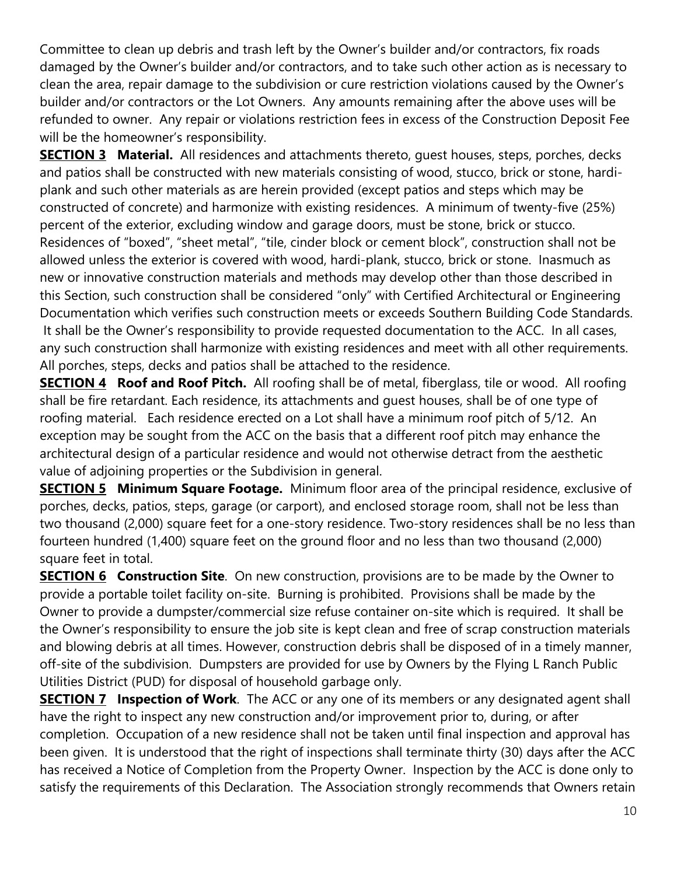Committee to clean up debris and trash left by the Owner's builder and/or contractors, fix roads damaged by the Owner's builder and/or contractors, and to take such other action as is necessary to clean the area, repair damage to the subdivision or cure restriction violations caused by the Owner's builder and/or contractors or the Lot Owners. Any amounts remaining after the above uses will be refunded to owner. Any repair or violations restriction fees in excess of the Construction Deposit Fee will be the homeowner's responsibility.

**SECTION 3 Material.** All residences and attachments thereto, quest houses, steps, porches, decks and patios shall be constructed with new materials consisting of wood, stucco, brick or stone, hardiplank and such other materials as are herein provided (except patios and steps which may be constructed of concrete) and harmonize with existing residences. A minimum of twenty-five (25%) percent of the exterior, excluding window and garage doors, must be stone, brick or stucco. Residences of "boxed", "sheet metal", "tile, cinder block or cement block", construction shall not be allowed unless the exterior is covered with wood, hardi-plank, stucco, brick or stone. Inasmuch as new or innovative construction materials and methods may develop other than those described in this Section, such construction shall be considered "only" with Certified Architectural or Engineering Documentation which verifies such construction meets or exceeds Southern Building Code Standards. It shall be the Owner's responsibility to provide requested documentation to the ACC. In all cases, any such construction shall harmonize with existing residences and meet with all other requirements. All porches, steps, decks and patios shall be attached to the residence.

**SECTION 4 Roof and Roof Pitch.** All roofing shall be of metal, fiberglass, tile or wood. All roofing shall be fire retardant. Each residence, its attachments and guest houses, shall be of one type of roofing material. Each residence erected on a Lot shall have a minimum roof pitch of 5/12. An exception may be sought from the ACC on the basis that a different roof pitch may enhance the architectural design of a particular residence and would not otherwise detract from the aesthetic value of adjoining properties or the Subdivision in general.

**SECTION 5 Minimum Square Footage.** Minimum floor area of the principal residence, exclusive of porches, decks, patios, steps, garage (or carport), and enclosed storage room, shall not be less than two thousand (2,000) square feet for a one-story residence. Two-story residences shall be no less than fourteen hundred (1,400) square feet on the ground floor and no less than two thousand (2,000) square feet in total.

**SECTION 6 Construction Site**. On new construction, provisions are to be made by the Owner to provide a portable toilet facility on-site. Burning is prohibited. Provisions shall be made by the Owner to provide a dumpster/commercial size refuse container on-site which is required. It shall be the Owner's responsibility to ensure the job site is kept clean and free of scrap construction materials and blowing debris at all times. However, construction debris shall be disposed of in a timely manner, off-site of the subdivision. Dumpsters are provided for use by Owners by the Flying L Ranch Public Utilities District (PUD) for disposal of household garbage only.

**SECTION 7 Inspection of Work**. The ACC or any one of its members or any designated agent shall have the right to inspect any new construction and/or improvement prior to, during, or after completion. Occupation of a new residence shall not be taken until final inspection and approval has been given. It is understood that the right of inspections shall terminate thirty (30) days after the ACC has received a Notice of Completion from the Property Owner. Inspection by the ACC is done only to satisfy the requirements of this Declaration. The Association strongly recommends that Owners retain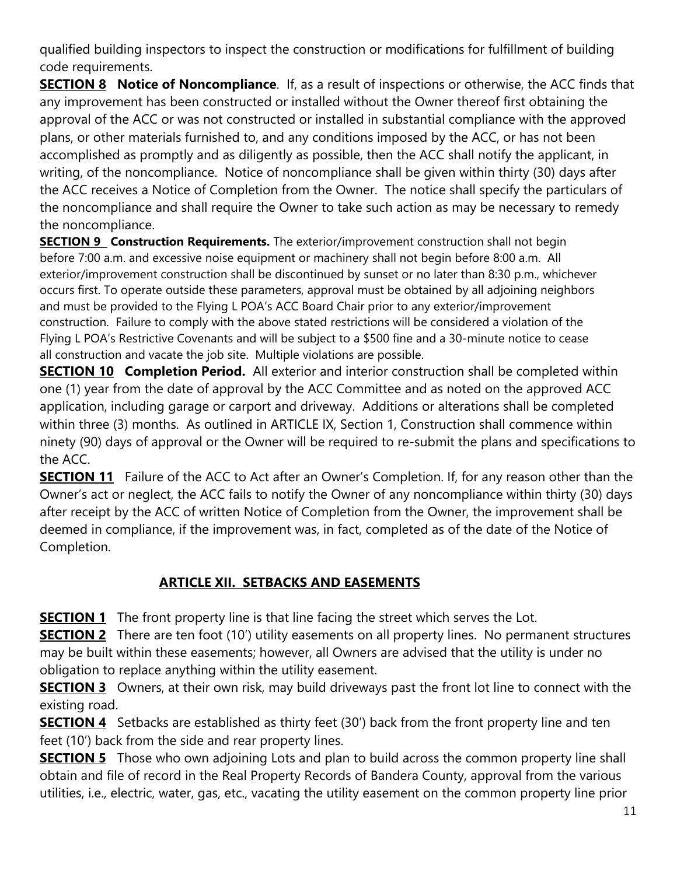qualified building inspectors to inspect the construction or modifications for fulfillment of building code requirements.

**SECTION 8 Notice of Noncompliance**. If, as a result of inspections or otherwise, the ACC finds that any improvement has been constructed or installed without the Owner thereof first obtaining the approval of the ACC or was not constructed or installed in substantial compliance with the approved plans, or other materials furnished to, and any conditions imposed by the ACC, or has not been accomplished as promptly and as diligently as possible, then the ACC shall notify the applicant, in writing, of the noncompliance. Notice of noncompliance shall be given within thirty (30) days after the ACC receives a Notice of Completion from the Owner. The notice shall specify the particulars of the noncompliance and shall require the Owner to take such action as may be necessary to remedy the noncompliance.

**SECTION 9 Construction Requirements.** The exterior/improvement construction shall not begin before 7:00 a.m. and excessive noise equipment or machinery shall not begin before 8:00 a.m. All exterior/improvement construction shall be discontinued by sunset or no later than 8:30 p.m., whichever occurs first. To operate outside these parameters, approval must be obtained by all adjoining neighbors and must be provided to the Flying L POA's ACC Board Chair prior to any exterior/improvement construction. Failure to comply with the above stated restrictions will be considered a violation of the Flying L POA's Restrictive Covenants and will be subject to a \$500 fine and a 30-minute notice to cease all construction and vacate the job site. Multiple violations are possible.

**SECTION 10 Completion Period.** All exterior and interior construction shall be completed within one (1) year from the date of approval by the ACC Committee and as noted on the approved ACC application, including garage or carport and driveway. Additions or alterations shall be completed within three (3) months. As outlined in ARTICLE IX, Section 1, Construction shall commence within ninety (90) days of approval or the Owner will be required to re-submit the plans and specifications to the ACC.

**SECTION 11** Failure of the ACC to Act after an Owner's Completion. If, for any reason other than the Owner's act or neglect, the ACC fails to notify the Owner of any noncompliance within thirty (30) days after receipt by the ACC of written Notice of Completion from the Owner, the improvement shall be deemed in compliance, if the improvement was, in fact, completed as of the date of the Notice of Completion.

# **ARTICLE XII. SETBACKS AND EASEMENTS**

**SECTION 1** The front property line is that line facing the street which serves the Lot.

**SECTION 2** There are ten foot (10') utility easements on all property lines. No permanent structures may be built within these easements; however, all Owners are advised that the utility is under no obligation to replace anything within the utility easement.

**SECTION 3** Owners, at their own risk, may build driveways past the front lot line to connect with the existing road.

**SECTION 4** Setbacks are established as thirty feet (30') back from the front property line and ten feet (10') back from the side and rear property lines.

**SECTION 5** Those who own adjoining Lots and plan to build across the common property line shall obtain and file of record in the Real Property Records of Bandera County, approval from the various utilities, i.e., electric, water, gas, etc., vacating the utility easement on the common property line prior